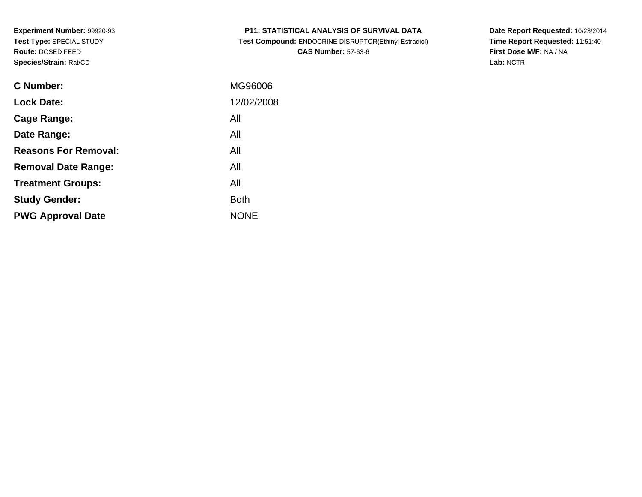**Study Gender:**

**PWG Approval Date**

| <b>C</b> Number:            | MG96006    |
|-----------------------------|------------|
| <b>Lock Date:</b>           | 12/02/2008 |
| Cage Range:                 | All        |
| Date Range:                 | All        |
| <b>Reasons For Removal:</b> | All        |
| <b>Removal Date Range:</b>  | All        |
| <b>Treatment Groups:</b>    | All        |

**Example 1** South 2 and 2 and 2 and 2 and 2 and 2 and 2 and 2 and 2 and 2 and 2 and 2 and 2 and 2 and 2 and 2 an

NONE

**P11: STATISTICAL ANALYSIS OF SURVIVAL DATA**

 **Test Compound:** ENDOCRINE DISRUPTOR(Ethinyl Estradiol)**CAS Number:** 57-63-6

**Date Report Requested:** 10/23/2014**Time Report Requested:** 11:51:40**First Dose M/F:** NA / NA**Lab:** NCTR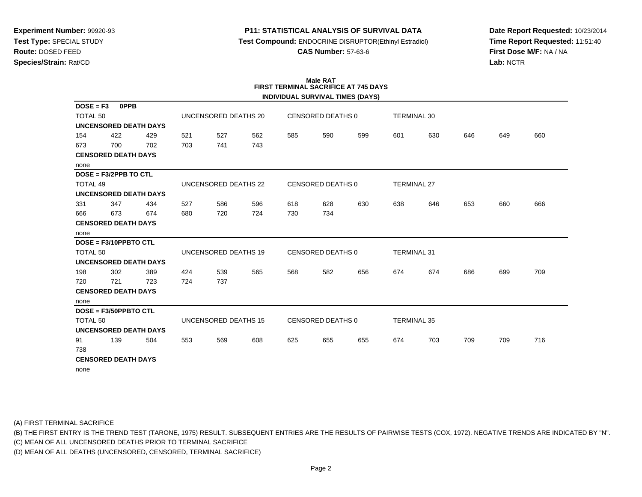# **P11: STATISTICAL ANALYSIS OF SURVIVAL DATA**

**Test Compound:** ENDOCRINE DISRUPTOR(Ethinyl Estradiol)

**CAS Number:** 57-63-6

**Date Report Requested:** 10/23/2014**Time Report Requested:** 11:51:40**First Dose M/F:** NA / NA**Lab:** NCTR

| <b>Male RAT</b><br><b>FIRST TERMINAL SACRIFICE AT 745 DAYS</b> |                                         |     |                      |                      |     |                          |                          |     |                    |                    |     |     |     |
|----------------------------------------------------------------|-----------------------------------------|-----|----------------------|----------------------|-----|--------------------------|--------------------------|-----|--------------------|--------------------|-----|-----|-----|
|                                                                | <b>INDIVIDUAL SURVIVAL TIMES (DAYS)</b> |     |                      |                      |     |                          |                          |     |                    |                    |     |     |     |
| $DOSE = F3$                                                    | <b>OPPB</b>                             |     |                      |                      |     |                          |                          |     |                    |                    |     |     |     |
| TOTAL <sub>50</sub>                                            |                                         |     |                      | UNCENSORED DEATHS 20 |     |                          | <b>CENSORED DEATHS 0</b> |     | <b>TERMINAL 30</b> |                    |     |     |     |
|                                                                | <b>UNCENSORED DEATH DAYS</b>            |     |                      |                      |     |                          |                          |     |                    |                    |     |     |     |
| 154                                                            | 422                                     | 429 | 521                  | 527                  | 562 | 585                      | 590                      | 599 | 601                | 630                | 646 | 649 | 660 |
| 673                                                            | 700                                     | 702 | 703                  | 741                  | 743 |                          |                          |     |                    |                    |     |     |     |
|                                                                | <b>CENSORED DEATH DAYS</b>              |     |                      |                      |     |                          |                          |     |                    |                    |     |     |     |
| none                                                           |                                         |     |                      |                      |     |                          |                          |     |                    |                    |     |     |     |
| $DOSE = F3/2PPB TO CTL$                                        |                                         |     |                      |                      |     |                          |                          |     |                    |                    |     |     |     |
| <b>TOTAL 49</b>                                                |                                         |     |                      | UNCENSORED DEATHS 22 |     |                          | <b>CENSORED DEATHS 0</b> |     |                    | <b>TERMINAL 27</b> |     |     |     |
| <b>UNCENSORED DEATH DAYS</b>                                   |                                         |     |                      |                      |     |                          |                          |     |                    |                    |     |     |     |
| 331                                                            | 347                                     | 434 | 527                  | 586                  | 596 | 618                      | 628                      | 630 | 638                | 646                | 653 | 660 | 666 |
| 666                                                            | 673                                     | 674 | 680                  | 720                  | 724 | 730                      | 734                      |     |                    |                    |     |     |     |
|                                                                | <b>CENSORED DEATH DAYS</b>              |     |                      |                      |     |                          |                          |     |                    |                    |     |     |     |
| none                                                           |                                         |     |                      |                      |     |                          |                          |     |                    |                    |     |     |     |
|                                                                | DOSE = F3/10PPBTO CTL                   |     |                      |                      |     |                          |                          |     |                    |                    |     |     |     |
| <b>TOTAL 50</b>                                                |                                         |     |                      | UNCENSORED DEATHS 19 |     |                          | <b>CENSORED DEATHS 0</b> |     |                    | <b>TERMINAL 31</b> |     |     |     |
|                                                                | <b>UNCENSORED DEATH DAYS</b>            |     |                      |                      |     |                          |                          |     |                    |                    |     |     |     |
| 198                                                            | 302                                     | 389 | 424                  | 539                  | 565 | 568                      | 582                      | 656 | 674                | 674                | 686 | 699 | 709 |
| 720                                                            | 721                                     | 723 | 724                  | 737                  |     |                          |                          |     |                    |                    |     |     |     |
|                                                                | <b>CENSORED DEATH DAYS</b>              |     |                      |                      |     |                          |                          |     |                    |                    |     |     |     |
| none                                                           |                                         |     |                      |                      |     |                          |                          |     |                    |                    |     |     |     |
|                                                                | DOSE = F3/50PPBTO CTL                   |     |                      |                      |     |                          |                          |     |                    |                    |     |     |     |
| <b>TOTAL 50</b>                                                |                                         |     | UNCENSORED DEATHS 15 |                      |     | <b>CENSORED DEATHS 0</b> |                          |     | <b>TERMINAL 35</b> |                    |     |     |     |
|                                                                | <b>UNCENSORED DEATH DAYS</b>            |     |                      |                      |     |                          |                          |     |                    |                    |     |     |     |
| 91                                                             | 139                                     | 504 | 553                  | 569                  | 608 | 625                      | 655                      | 655 | 674                | 703                | 709 | 709 | 716 |
| 738                                                            |                                         |     |                      |                      |     |                          |                          |     |                    |                    |     |     |     |
|                                                                | <b>CENSORED DEATH DAYS</b>              |     |                      |                      |     |                          |                          |     |                    |                    |     |     |     |
| none                                                           |                                         |     |                      |                      |     |                          |                          |     |                    |                    |     |     |     |

(A) FIRST TERMINAL SACRIFICE

(B) THE FIRST ENTRY IS THE TREND TEST (TARONE, 1975) RESULT. SUBSEQUENT ENTRIES ARE THE RESULTS OF PAIRWISE TESTS (COX, 1972). NEGATIVE TRENDS ARE INDICATED BY "N".

(C) MEAN OF ALL UNCENSORED DEATHS PRIOR TO TERMINAL SACRIFICE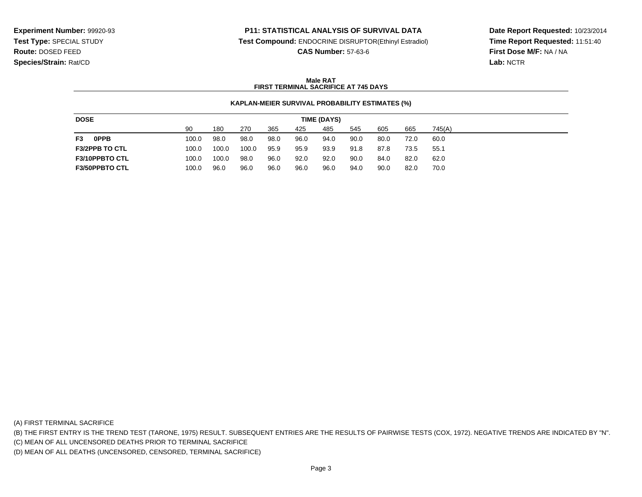#### **P11: STATISTICAL ANALYSIS OF SURVIVAL DATA**

**Test Compound:** ENDOCRINE DISRUPTOR(Ethinyl Estradiol)

**CAS Number:** 57-63-6

**Date Report Requested:** 10/23/2014**Time Report Requested:** 11:51:40**First Dose M/F:** NA / NA**Lab:** NCTR

#### **Male RATFIRST TERMINAL SACRIFICE AT 745 DAYS**

#### **KAPLAN-MEIER SURVIVAL PROBABILITY ESTIMATES (%)**

| <b>DOSE</b>           | TIME (DAYS) |       |       |      |      |      |      |      |      |        |  |
|-----------------------|-------------|-------|-------|------|------|------|------|------|------|--------|--|
|                       | 90          | 180   | 270   | 365  | 425  | 485  | 545  | 605  | 665  | 745(A) |  |
| <b>OPPB</b><br>F3     | 100.0       | 98.0  | 98.0  | 98.0 | 96.0 | 94.0 | 90.0 | 80.0 | 72.0 | 60.0   |  |
| <b>F3/2PPB TO CTL</b> | 100.0       | 100.0 | 100.0 | 95.9 | 95.9 | 93.9 | 91.8 | 87.8 | 73.5 | 55.1   |  |
| <b>F3/10PPBTO CTL</b> | 100.0       | 100.0 | 98.0  | 96.0 | 92.0 | 92.0 | 90.0 | 84.0 | 82.0 | 62.0   |  |
| <b>F3/50PPBTO CTL</b> | 100.0       | 96.0  | 96.0  | 96.0 | 96.0 | 96.0 | 94.0 | 90.0 | 82.0 | 70.0   |  |

(A) FIRST TERMINAL SACRIFICE

(B) THE FIRST ENTRY IS THE TREND TEST (TARONE, 1975) RESULT. SUBSEQUENT ENTRIES ARE THE RESULTS OF PAIRWISE TESTS (COX, 1972). NEGATIVE TRENDS ARE INDICATED BY "N".

(C) MEAN OF ALL UNCENSORED DEATHS PRIOR TO TERMINAL SACRIFICE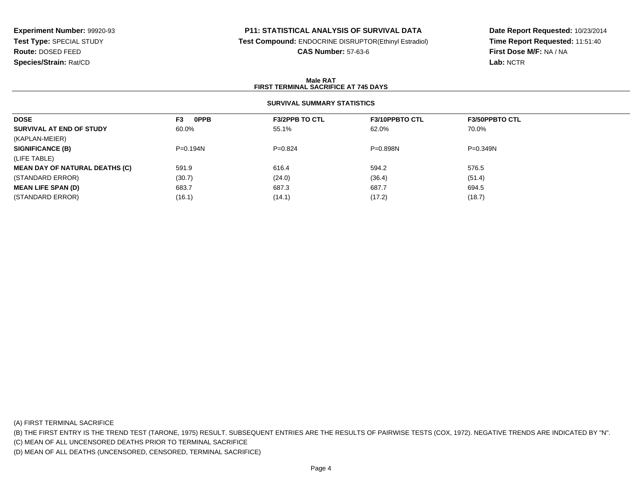# **P11: STATISTICAL ANALYSIS OF SURVIVAL DATA**

**Test Compound:** ENDOCRINE DISRUPTOR(Ethinyl Estradiol)

**CAS Number:** 57-63-6

**Date Report Requested:** 10/23/2014**Time Report Requested:** 11:51:40**First Dose M/F:** NA / NA**Lab:** NCTR

#### **Male RATFIRST TERMINAL SACRIFICE AT 745 DAYS**

# **SURVIVAL SUMMARY STATISTICS**

| <b>DOSE</b>                           | <b>OPPB</b><br>F3 | <b>F3/2PPB TO CTL</b> | <b>F3/10PPBTO CTL</b> | <b>F3/50PPBTO CTL</b> |
|---------------------------------------|-------------------|-----------------------|-----------------------|-----------------------|
| SURVIVAL AT END OF STUDY              | 60.0%             | 55.1%                 | 62.0%                 | 70.0%                 |
| (KAPLAN-MEIER)                        |                   |                       |                       |                       |
| <b>SIGNIFICANCE (B)</b>               | $P = 0.194N$      | $P=0.824$             | $P = 0.898N$          | $P = 0.349N$          |
| (LIFE TABLE)                          |                   |                       |                       |                       |
| <b>MEAN DAY OF NATURAL DEATHS (C)</b> | 591.9             | 616.4                 | 594.2                 | 576.5                 |
| (STANDARD ERROR)                      | (30.7)            | (24.0)                | (36.4)                | (51.4)                |
| <b>MEAN LIFE SPAN (D)</b>             | 683.7             | 687.3                 | 687.7                 | 694.5                 |
| (STANDARD ERROR)                      | (16.1)            | (14.1)                | (17.2)                | (18.7)                |
|                                       |                   |                       |                       |                       |

(A) FIRST TERMINAL SACRIFICE

(B) THE FIRST ENTRY IS THE TREND TEST (TARONE, 1975) RESULT. SUBSEQUENT ENTRIES ARE THE RESULTS OF PAIRWISE TESTS (COX, 1972). NEGATIVE TRENDS ARE INDICATED BY "N".

(C) MEAN OF ALL UNCENSORED DEATHS PRIOR TO TERMINAL SACRIFICE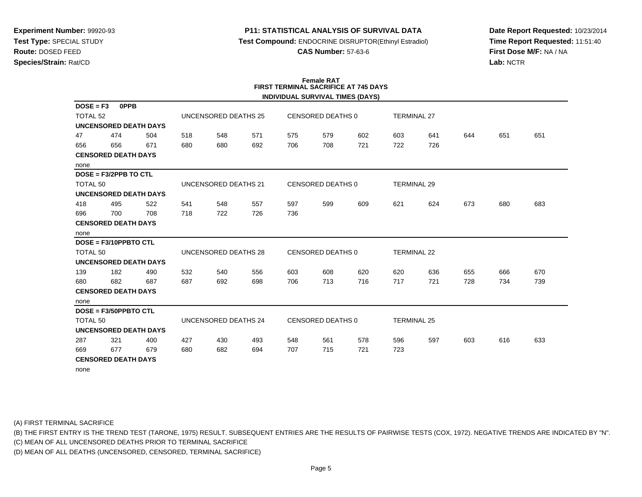#### **P11: STATISTICAL ANALYSIS OF SURVIVAL DATA**

**Test Compound:** ENDOCRINE DISRUPTOR(Ethinyl Estradiol)

**CAS Number:** 57-63-6

**Date Report Requested:** 10/23/2014**Time Report Requested:** 11:51:40**First Dose M/F:** NA / NA**Lab:** NCTR

#### **Female RAT FIRST TERMINAL SACRIFICE AT 745 DAYSINDIVIDUAL SURVIVAL TIMES (DAYS)**

|                     |                              |     |                      |                      |     |                          |                   | <b>INDIVIDUAL SURVIVAL TIMES (DATS)</b> |                    |                    |     |     |     |
|---------------------|------------------------------|-----|----------------------|----------------------|-----|--------------------------|-------------------|-----------------------------------------|--------------------|--------------------|-----|-----|-----|
| $DOSE = F3$         | <b>OPPB</b>                  |     |                      |                      |     |                          |                   |                                         |                    |                    |     |     |     |
| TOTAL <sub>52</sub> |                              |     |                      | UNCENSORED DEATHS 25 |     |                          | CENSORED DEATHS 0 |                                         |                    | <b>TERMINAL 27</b> |     |     |     |
|                     | <b>UNCENSORED DEATH DAYS</b> |     |                      |                      |     |                          |                   |                                         |                    |                    |     |     |     |
| 47                  | 474                          | 504 | 518                  | 548                  | 571 | 575                      | 579               | 602                                     | 603                | 641                | 644 | 651 | 651 |
| 656                 | 656                          | 671 | 680                  | 680                  | 692 | 706                      | 708               | 721                                     | 722                | 726                |     |     |     |
|                     | <b>CENSORED DEATH DAYS</b>   |     |                      |                      |     |                          |                   |                                         |                    |                    |     |     |     |
| none                |                              |     |                      |                      |     |                          |                   |                                         |                    |                    |     |     |     |
|                     | $DOSE = F3/2PPB TO CTL$      |     |                      |                      |     |                          |                   |                                         |                    |                    |     |     |     |
| TOTAL 50            |                              |     |                      | UNCENSORED DEATHS 21 |     |                          | CENSORED DEATHS 0 |                                         | <b>TERMINAL 29</b> |                    |     |     |     |
|                     | <b>UNCENSORED DEATH DAYS</b> |     |                      |                      |     |                          |                   |                                         |                    |                    |     |     |     |
| 418                 | 495                          | 522 | 541                  | 548                  | 557 | 597                      | 599               | 609                                     | 621                | 624                | 673 | 680 | 683 |
| 696                 | 700                          | 708 | 718                  | 722                  | 726 | 736                      |                   |                                         |                    |                    |     |     |     |
|                     | <b>CENSORED DEATH DAYS</b>   |     |                      |                      |     |                          |                   |                                         |                    |                    |     |     |     |
| none                |                              |     |                      |                      |     |                          |                   |                                         |                    |                    |     |     |     |
|                     | DOSE = F3/10PPBTO CTL        |     |                      |                      |     |                          |                   |                                         |                    |                    |     |     |     |
| TOTAL 50            |                              |     |                      | UNCENSORED DEATHS 28 |     |                          | CENSORED DEATHS 0 |                                         |                    | <b>TERMINAL 22</b> |     |     |     |
|                     | <b>UNCENSORED DEATH DAYS</b> |     |                      |                      |     |                          |                   |                                         |                    |                    |     |     |     |
| 139                 | 182                          | 490 | 532                  | 540                  | 556 | 603                      | 608               | 620                                     | 620                | 636                | 655 | 666 | 670 |
| 680                 | 682                          | 687 | 687                  | 692                  | 698 | 706                      | 713               | 716                                     | 717                | 721                | 728 | 734 | 739 |
|                     | <b>CENSORED DEATH DAYS</b>   |     |                      |                      |     |                          |                   |                                         |                    |                    |     |     |     |
| none                |                              |     |                      |                      |     |                          |                   |                                         |                    |                    |     |     |     |
|                     | DOSE = F3/50PPBTO CTL        |     |                      |                      |     |                          |                   |                                         |                    |                    |     |     |     |
| TOTAL <sub>50</sub> |                              |     | UNCENSORED DEATHS 24 |                      |     | <b>CENSORED DEATHS 0</b> |                   |                                         | <b>TERMINAL 25</b> |                    |     |     |     |
|                     | <b>UNCENSORED DEATH DAYS</b> |     |                      |                      |     |                          |                   |                                         |                    |                    |     |     |     |
| 287                 | 321                          | 400 | 427                  | 430                  | 493 | 548                      | 561               | 578                                     | 596                | 597                | 603 | 616 | 633 |
| 669                 | 677                          | 679 | 680                  | 682                  | 694 | 707                      | 715               | 721                                     | 723                |                    |     |     |     |
|                     | <b>CENSORED DEATH DAYS</b>   |     |                      |                      |     |                          |                   |                                         |                    |                    |     |     |     |
| none                |                              |     |                      |                      |     |                          |                   |                                         |                    |                    |     |     |     |

(A) FIRST TERMINAL SACRIFICE

(B) THE FIRST ENTRY IS THE TREND TEST (TARONE, 1975) RESULT. SUBSEQUENT ENTRIES ARE THE RESULTS OF PAIRWISE TESTS (COX, 1972). NEGATIVE TRENDS ARE INDICATED BY "N".

(C) MEAN OF ALL UNCENSORED DEATHS PRIOR TO TERMINAL SACRIFICE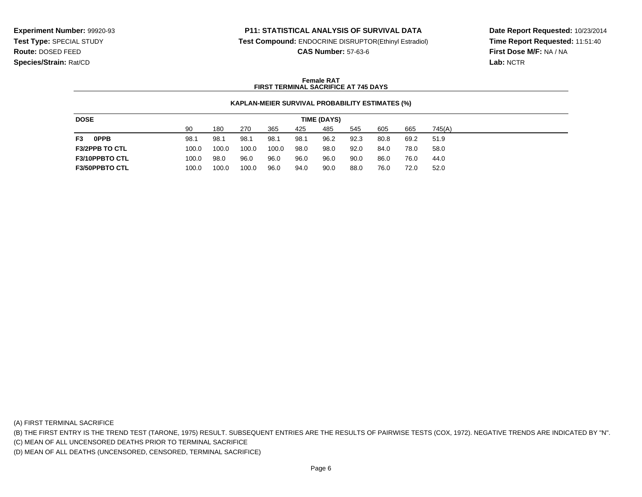#### **P11: STATISTICAL ANALYSIS OF SURVIVAL DATA**

**Test Compound:** ENDOCRINE DISRUPTOR(Ethinyl Estradiol)

**CAS Number:** 57-63-6

**Date Report Requested:** 10/23/2014**Time Report Requested:** 11:51:40**First Dose M/F:** NA / NA**Lab:** NCTR

#### **Female RATFIRST TERMINAL SACRIFICE AT 745 DAYS**

#### **KAPLAN-MEIER SURVIVAL PROBABILITY ESTIMATES (%)**

| <b>DOSE</b><br>TIME (DAYS) |       |       |       |       |      |      |      |      |      |        |
|----------------------------|-------|-------|-------|-------|------|------|------|------|------|--------|
|                            | 90    | 180   | 270   | 365   | 425  | 485  | 545  | 605  | 665  | 745(A) |
| F3<br><b>OPPB</b>          | 98.1  | 98.1  | 98.1  | 98.1  | 98.1 | 96.2 | 92.3 | 80.8 | 69.2 | 51.9   |
| <b>F3/2PPB TO CTL</b>      | 100.0 | 100.0 | 100.0 | 100.0 | 98.0 | 98.0 | 92.0 | 84.0 | 78.0 | 58.0   |
| <b>F3/10PPBTO CTL</b>      | 100.0 | 98.0  | 96.0  | 96.0  | 96.0 | 96.0 | 90.0 | 86.0 | 76.0 | 44.0   |
| <b>F3/50PPBTO CTL</b>      | 100.0 | 100.0 | 100.0 | 96.0  | 94.0 | 90.0 | 88.0 | 76.0 | 72.0 | 52.0   |

(A) FIRST TERMINAL SACRIFICE

(B) THE FIRST ENTRY IS THE TREND TEST (TARONE, 1975) RESULT. SUBSEQUENT ENTRIES ARE THE RESULTS OF PAIRWISE TESTS (COX, 1972). NEGATIVE TRENDS ARE INDICATED BY "N".

(C) MEAN OF ALL UNCENSORED DEATHS PRIOR TO TERMINAL SACRIFICE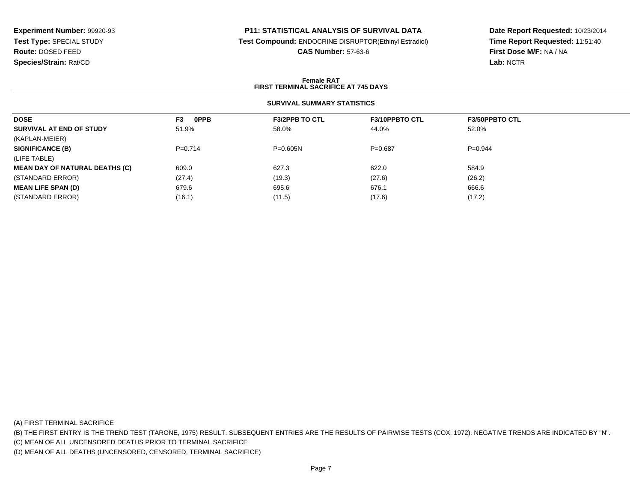# **P11: STATISTICAL ANALYSIS OF SURVIVAL DATA**

**Test Compound:** ENDOCRINE DISRUPTOR(Ethinyl Estradiol)

**CAS Number:** 57-63-6

**Date Report Requested:** 10/23/2014**Time Report Requested:** 11:51:40**First Dose M/F:** NA / NA**Lab:** NCTR

#### **Female RATFIRST TERMINAL SACRIFICE AT 745 DAYS**

# **SURVIVAL SUMMARY STATISTICS**

| <b>DOSE</b>                           | <b>OPPB</b><br>F <sub>3</sub> | <b>F3/2PPB TO CTL</b> | <b>F3/10PPBTO CTL</b> | <b>F3/50PPBTO CTL</b> |
|---------------------------------------|-------------------------------|-----------------------|-----------------------|-----------------------|
| SURVIVAL AT END OF STUDY              | 51.9%                         | 58.0%                 | 44.0%                 | 52.0%                 |
| (KAPLAN-MEIER)                        |                               |                       |                       |                       |
| <b>SIGNIFICANCE (B)</b>               | $P=0.714$                     | $P = 0.605N$          | $P=0.687$             | $P=0.944$             |
| (LIFE TABLE)                          |                               |                       |                       |                       |
| <b>MEAN DAY OF NATURAL DEATHS (C)</b> | 609.0                         | 627.3                 | 622.0                 | 584.9                 |
| (STANDARD ERROR)                      | (27.4)                        | (19.3)                | (27.6)                | (26.2)                |
| <b>MEAN LIFE SPAN (D)</b>             | 679.6                         | 695.6                 | 676.1                 | 666.6                 |
| (STANDARD ERROR)                      | (16.1)                        | (11.5)                | (17.6)                | (17.2)                |

(A) FIRST TERMINAL SACRIFICE

(B) THE FIRST ENTRY IS THE TREND TEST (TARONE, 1975) RESULT. SUBSEQUENT ENTRIES ARE THE RESULTS OF PAIRWISE TESTS (COX, 1972). NEGATIVE TRENDS ARE INDICATED BY "N".

(C) MEAN OF ALL UNCENSORED DEATHS PRIOR TO TERMINAL SACRIFICE